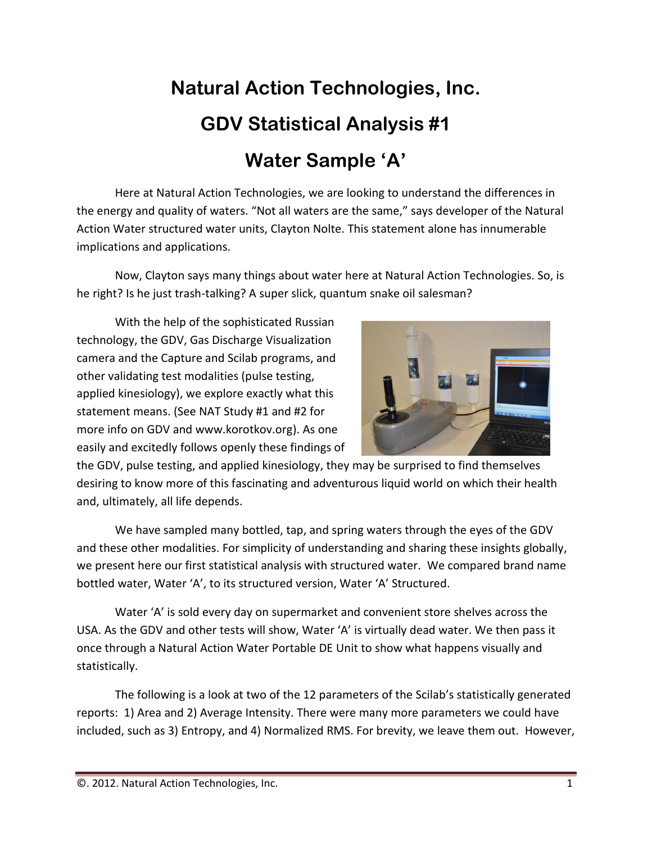## **Natural Action Technologies, Inc. GDV Statistical Analysis #1 Water Sample 'A'**

Here at Natural Action Technologies, we are looking to understand the differences in the energy and quality of waters. "Not all waters are the same," says developer of the Natural Action Water structured water units, Clayton Nolte. This statement alone has innumerable implications and applications.

Now, Clayton says many things about water here at Natural Action Technologies. So, is he right? Is he just trash-talking? A super slick, quantum snake oil salesman?

With the help of the sophisticated Russian technology, the GDV, Gas Discharge Visualization camera and the Capture and Scilab programs, and other validating test modalities (pulse testing, applied kinesiology), we explore exactly what this statement means. (See NAT Study #1 and #2 for more info on GDV and www.korotkov.org). As one easily and excitedly follows openly these findings of



the GDV, pulse testing, and applied kinesiology, they may be surprised to find themselves desiring to know more of this fascinating and adventurous liquid world on which their health and, ultimately, all life depends.

We have sampled many bottled, tap, and spring waters through the eyes of the GDV and these other modalities. For simplicity of understanding and sharing these insights globally, we present here our first statistical analysis with structured water. We compared brand name bottled water, Water 'A', to its structured version, Water 'A' Structured.

Water 'A' is sold every day on supermarket and convenient store shelves across the USA. As the GDV and other tests will show, Water 'A' is virtually dead water. We then pass it once through a Natural Action Water Portable DE Unit to show what happens visually and statistically.

The following is a look at two of the 12 parameters of the Scilab's statistically generated reports: 1) Area and 2) Average Intensity. There were many more parameters we could have included, such as 3) Entropy, and 4) Normalized RMS. For brevity, we leave them out. However,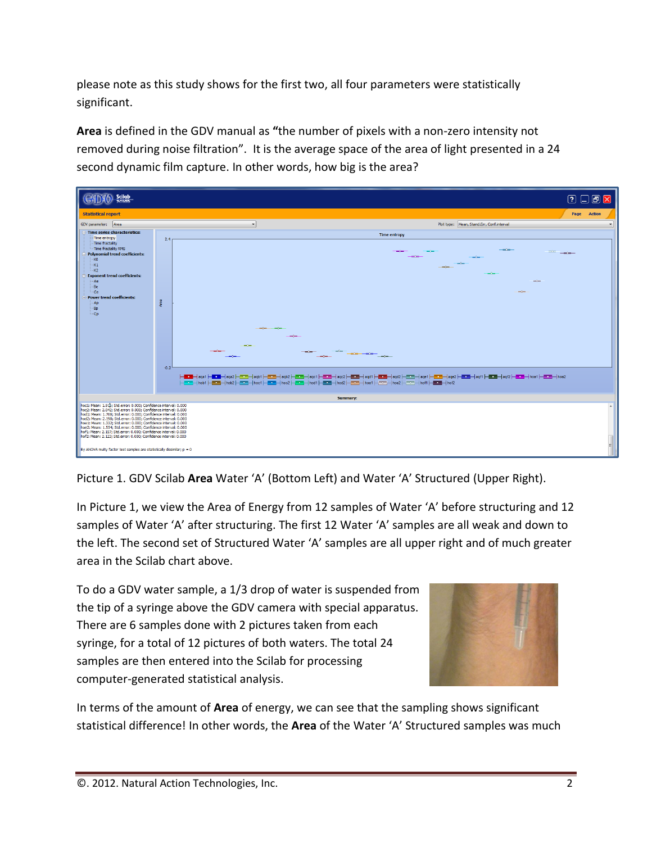please note as this study shows for the first two, all four parameters were statistically significant.

**Area** is defined in the GDV manual as **"**the number of pixels with a non-zero intensity not removed during noise filtration". It is the average space of the area of light presented in a 24 second dynamic film capture. In other words, how big is the area?



Picture 1. GDV Scilab **Area** Water 'A' (Bottom Left) and Water 'A' Structured (Upper Right).

In Picture 1, we view the Area of Energy from 12 samples of Water 'A' before structuring and 12 samples of Water 'A' after structuring. The first 12 Water 'A' samples are all weak and down to the left. The second set of Structured Water 'A' samples are all upper right and of much greater area in the Scilab chart above.

To do a GDV water sample, a 1/3 drop of water is suspended from the tip of a syringe above the GDV camera with special apparatus. There are 6 samples done with 2 pictures taken from each syringe, for a total of 12 pictures of both waters. The total 24 samples are then entered into the Scilab for processing computer-generated statistical analysis.



In terms of the amount of **Area** of energy, we can see that the sampling shows significant statistical difference! In other words, the **Area** of the Water 'A' Structured samples was much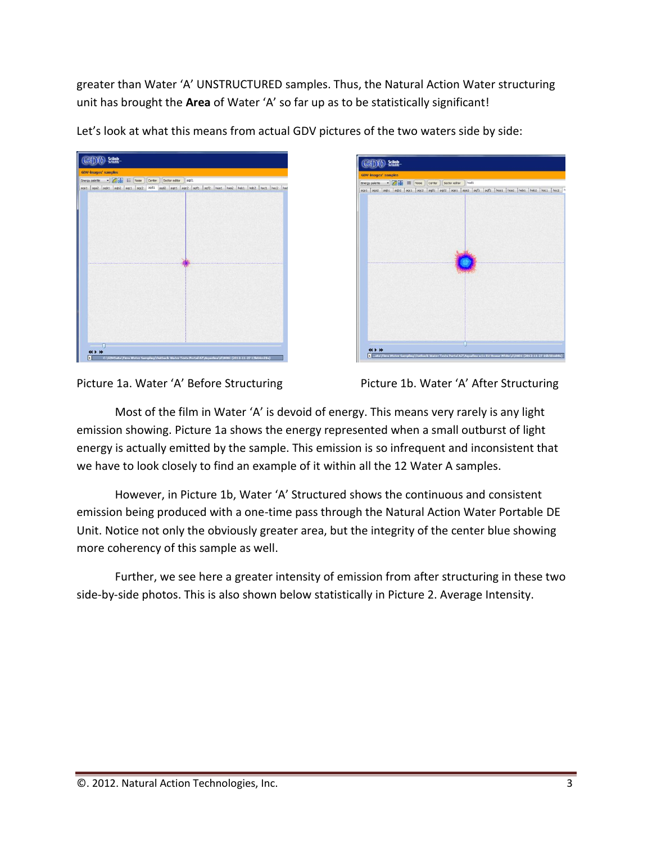greater than Water 'A' UNSTRUCTURED samples. Thus, the Natural Action Water structuring unit has brought the **Area** of Water 'A' so far up as to be statistically significant!

| <b>GDV-images' samples</b> |                          |           |        |                                                            |      |  |  |  |  |
|----------------------------|--------------------------|-----------|--------|------------------------------------------------------------|------|--|--|--|--|
| Energy palette             | $-120$                   | $E$ Noise | Center | Sector editor                                              | agd1 |  |  |  |  |
|                            | aga1 aga2 agb1 agb2 agc1 | nqc2      | agd1   | agd2 age1 age2 agf1 agf2 hoa1 hoa2 hob1 hob2 hoc1 hoc2 hod |      |  |  |  |  |
|                            |                          |           |        |                                                            |      |  |  |  |  |
|                            |                          |           |        |                                                            |      |  |  |  |  |
|                            |                          |           |        |                                                            |      |  |  |  |  |
|                            |                          |           |        |                                                            |      |  |  |  |  |
|                            |                          |           |        |                                                            |      |  |  |  |  |
|                            |                          |           |        |                                                            |      |  |  |  |  |
|                            |                          |           |        |                                                            |      |  |  |  |  |
|                            |                          |           |        |                                                            |      |  |  |  |  |
|                            |                          |           |        |                                                            |      |  |  |  |  |
|                            |                          |           |        |                                                            |      |  |  |  |  |
|                            |                          |           |        |                                                            |      |  |  |  |  |
|                            |                          |           |        |                                                            |      |  |  |  |  |
|                            |                          |           |        |                                                            |      |  |  |  |  |
|                            |                          |           |        |                                                            |      |  |  |  |  |
|                            |                          |           |        |                                                            |      |  |  |  |  |
|                            |                          |           |        |                                                            |      |  |  |  |  |
|                            |                          |           |        |                                                            |      |  |  |  |  |
|                            |                          |           |        |                                                            |      |  |  |  |  |
|                            |                          |           |        |                                                            |      |  |  |  |  |
|                            |                          |           |        |                                                            |      |  |  |  |  |
|                            |                          |           |        |                                                            |      |  |  |  |  |
|                            |                          |           |        |                                                            |      |  |  |  |  |
|                            |                          |           |        |                                                            |      |  |  |  |  |

Let's look at what this means from actual GDV pictures of the two waters side by side:

| <b>GDV-images' samples</b> |                                       |      |        |                                                        |       |  |  |  |  |
|----------------------------|---------------------------------------|------|--------|--------------------------------------------------------|-------|--|--|--|--|
|                            | Energy palette . For the Richard Rose |      | Center | Sector editor                                          | hod 1 |  |  |  |  |
|                            | aga1 aga2 agb1 agb2 agc1              | agc2 | agd1   | agd2 age1 age2 agf1 agf2 hoa1 hoa2 hob1 hob2 hoc1 hoc2 |       |  |  |  |  |
|                            |                                       |      |        |                                                        |       |  |  |  |  |
|                            |                                       |      |        |                                                        |       |  |  |  |  |
|                            |                                       |      |        |                                                        |       |  |  |  |  |
|                            |                                       |      |        |                                                        |       |  |  |  |  |
|                            |                                       |      |        |                                                        |       |  |  |  |  |
|                            |                                       |      |        |                                                        |       |  |  |  |  |
|                            |                                       |      |        |                                                        |       |  |  |  |  |
|                            |                                       |      |        |                                                        |       |  |  |  |  |
|                            |                                       |      |        |                                                        |       |  |  |  |  |
|                            |                                       |      |        |                                                        |       |  |  |  |  |
|                            |                                       |      |        |                                                        |       |  |  |  |  |
|                            |                                       |      |        |                                                        |       |  |  |  |  |
|                            |                                       |      |        |                                                        |       |  |  |  |  |
|                            |                                       |      |        |                                                        |       |  |  |  |  |
|                            |                                       |      |        |                                                        |       |  |  |  |  |
|                            |                                       |      |        |                                                        |       |  |  |  |  |
|                            |                                       |      |        |                                                        |       |  |  |  |  |
|                            |                                       |      |        |                                                        |       |  |  |  |  |
|                            |                                       |      |        |                                                        |       |  |  |  |  |
|                            |                                       |      |        |                                                        |       |  |  |  |  |
|                            |                                       |      |        |                                                        |       |  |  |  |  |
|                            |                                       |      |        |                                                        |       |  |  |  |  |
|                            |                                       |      |        |                                                        |       |  |  |  |  |
|                            |                                       |      |        |                                                        |       |  |  |  |  |
|                            |                                       |      |        |                                                        |       |  |  |  |  |
|                            |                                       |      |        |                                                        |       |  |  |  |  |



Most of the film in Water 'A' is devoid of energy. This means very rarely is any light emission showing. Picture 1a shows the energy represented when a small outburst of light energy is actually emitted by the sample. This emission is so infrequent and inconsistent that we have to look closely to find an example of it within all the 12 Water A samples.

However, in Picture 1b, Water 'A' Structured shows the continuous and consistent emission being produced with a one-time pass through the Natural Action Water Portable DE Unit. Notice not only the obviously greater area, but the integrity of the center blue showing more coherency of this sample as well.

Further, we see here a greater intensity of emission from after structuring in these two side-by-side photos. This is also shown below statistically in Picture 2. Average Intensity.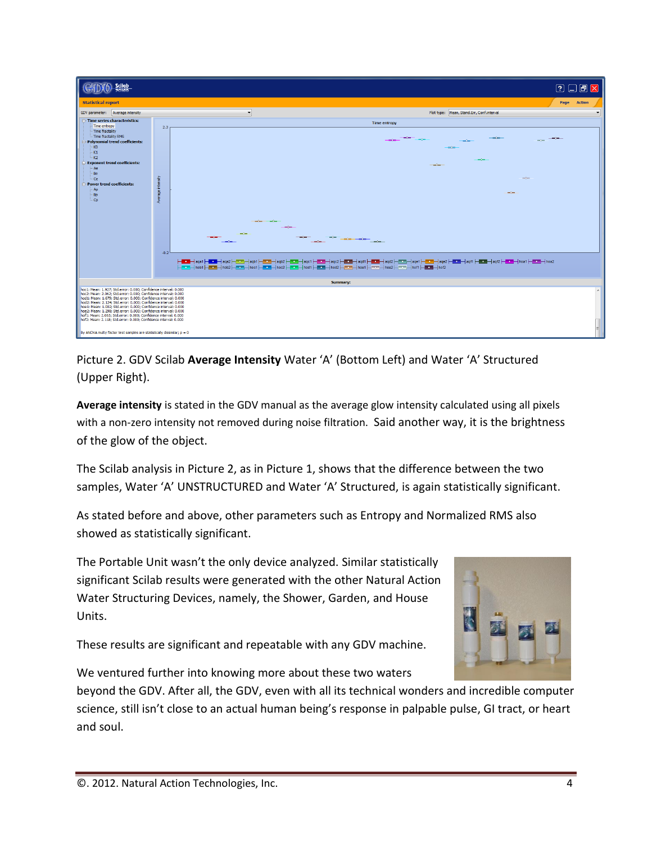| Scilab<br><b>Religio</b>                                                                                                                                                                                                                                                                                                                                                                                                                                                                                                                               |                   | 200X                                                                                                                                                                                                                                                                                                                                                                                                                                                                                   |  |  |  |  |  |  |  |  |  |
|--------------------------------------------------------------------------------------------------------------------------------------------------------------------------------------------------------------------------------------------------------------------------------------------------------------------------------------------------------------------------------------------------------------------------------------------------------------------------------------------------------------------------------------------------------|-------------------|----------------------------------------------------------------------------------------------------------------------------------------------------------------------------------------------------------------------------------------------------------------------------------------------------------------------------------------------------------------------------------------------------------------------------------------------------------------------------------------|--|--|--|--|--|--|--|--|--|
| <b>Statistical report</b>                                                                                                                                                                                                                                                                                                                                                                                                                                                                                                                              |                   | Page Action                                                                                                                                                                                                                                                                                                                                                                                                                                                                            |  |  |  |  |  |  |  |  |  |
| GDV parameter: Average intensity                                                                                                                                                                                                                                                                                                                                                                                                                                                                                                                       |                   | Plot type: Mean, Stand.Err, Conf.interval<br>$\overline{\phantom{a}}$                                                                                                                                                                                                                                                                                                                                                                                                                  |  |  |  |  |  |  |  |  |  |
| - Time series characteristics:<br>- Time entropy                                                                                                                                                                                                                                                                                                                                                                                                                                                                                                       | 2.3 <sub>1</sub>  | <b>Time entropy</b>                                                                                                                                                                                                                                                                                                                                                                                                                                                                    |  |  |  |  |  |  |  |  |  |
| Time fractality<br>- Time fractality RMS<br>Polynomial trend coefficients:<br>$-K0$<br>$-K1$                                                                                                                                                                                                                                                                                                                                                                                                                                                           |                   | m/m<br>$\frac{1}{2}$                                                                                                                                                                                                                                                                                                                                                                                                                                                                   |  |  |  |  |  |  |  |  |  |
| -K2<br><b>Exponent trend coefficients:</b><br>- Ae                                                                                                                                                                                                                                                                                                                                                                                                                                                                                                     |                   | ---                                                                                                                                                                                                                                                                                                                                                                                                                                                                                    |  |  |  |  |  |  |  |  |  |
| -Be<br>Ce.<br>Power trend coefficients:                                                                                                                                                                                                                                                                                                                                                                                                                                                                                                                |                   | $\frac{1}{2}$                                                                                                                                                                                                                                                                                                                                                                                                                                                                          |  |  |  |  |  |  |  |  |  |
| - Ap<br>-Bp<br>Cp.                                                                                                                                                                                                                                                                                                                                                                                                                                                                                                                                     | Average intensity | <b>COMPANY</b>                                                                                                                                                                                                                                                                                                                                                                                                                                                                         |  |  |  |  |  |  |  |  |  |
|                                                                                                                                                                                                                                                                                                                                                                                                                                                                                                                                                        | $-0.2$            | <b>COMPANY COMPANY</b><br>and for<br>--<br>$\frac{1}{\sqrt{2}}\left( \frac{1}{\sqrt{2}}\right) ^{2}=\frac{1}{\sqrt{2}}\left( \frac{1}{\sqrt{2}}\right) ^{2}=\frac{1}{\sqrt{2}}\left( \frac{1}{\sqrt{2}}\right) ^{2}=\frac{1}{\sqrt{2}}\left( \frac{1}{\sqrt{2}}\right) ^{2}=\frac{1}{\sqrt{2}}\left( \frac{1}{\sqrt{2}}\right) ^{2}=\frac{1}{\sqrt{2}}\left( \frac{1}{\sqrt{2}}\right) ^{2}=\frac{1}{\sqrt{2}}\left( \frac{1}{\sqrt{2}}\right) ^{2}=\frac{1}{\sqrt{2}}$<br>$-$ and $-$ |  |  |  |  |  |  |  |  |  |
|                                                                                                                                                                                                                                                                                                                                                                                                                                                                                                                                                        |                   |                                                                                                                                                                                                                                                                                                                                                                                                                                                                                        |  |  |  |  |  |  |  |  |  |
|                                                                                                                                                                                                                                                                                                                                                                                                                                                                                                                                                        | Summary:          |                                                                                                                                                                                                                                                                                                                                                                                                                                                                                        |  |  |  |  |  |  |  |  |  |
| hoc1: Mean: 1.927: Std.error: 0.000: Confidence interval: 0.000<br>hoc2: Mean: 2.062; Std.error: 0.000; Confidence interval: 0.000<br>hod 1: Mean: 1.679; Std.error: 0.000; Confidence interval: 0.000<br>hod2: Mean: 2.124; Std.error: 0.000; Confidence interval: 0.000<br>hoe 1: Mean: 1.002: Std.error: 0.000: Confidence interval: 0.000<br>hoe2: Mean: 1.298: Std.error: 0.000: Confidence interval: 0.000<br>hof1: Mean: 2.065; Std.error: 0.000; Confidence interval: 0.000<br>hof2: Mean: 2.118; Std.error: 0.000; Confidence interval: 0.000 |                   |                                                                                                                                                                                                                                                                                                                                                                                                                                                                                        |  |  |  |  |  |  |  |  |  |
| By ANOVA multy factor test samples are statistically dissimilar; $p = 0$                                                                                                                                                                                                                                                                                                                                                                                                                                                                               |                   |                                                                                                                                                                                                                                                                                                                                                                                                                                                                                        |  |  |  |  |  |  |  |  |  |

Picture 2. GDV Scilab **Average Intensity** Water 'A' (Bottom Left) and Water 'A' Structured (Upper Right).

**Average intensity** is stated in the GDV manual as the average glow intensity calculated using all pixels with a non-zero intensity not removed during noise filtration. Said another way, it is the brightness of the glow of the object.

The Scilab analysis in Picture 2, as in Picture 1, shows that the difference between the two samples, Water 'A' UNSTRUCTURED and Water 'A' Structured, is again statistically significant.

As stated before and above, other parameters such as Entropy and Normalized RMS also showed as statistically significant.

The Portable Unit wasn't the only device analyzed. Similar statistically significant Scilab results were generated with the other Natural Action Water Structuring Devices, namely, the Shower, Garden, and House Units.

These results are significant and repeatable with any GDV machine.



We ventured further into knowing more about these two waters

beyond the GDV. After all, the GDV, even with all its technical wonders and incredible computer science, still isn't close to an actual human being's response in palpable pulse, GI tract, or heart and soul.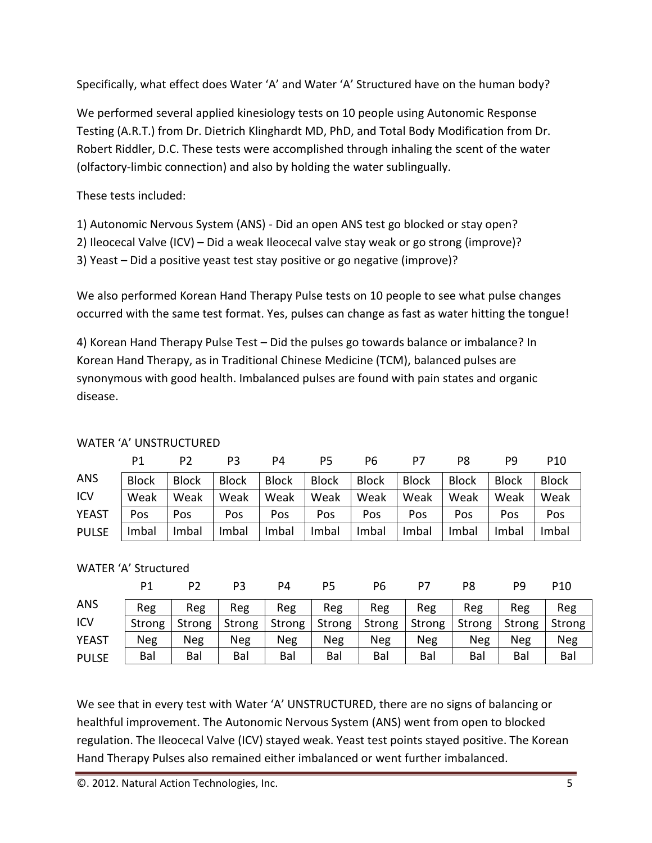Specifically, what effect does Water 'A' and Water 'A' Structured have on the human body?

We performed several applied kinesiology tests on 10 people using Autonomic Response Testing (A.R.T.) from Dr. Dietrich Klinghardt MD, PhD, and Total Body Modification from Dr. Robert Riddler, D.C. These tests were accomplished through inhaling the scent of the water (olfactory-limbic connection) and also by holding the water sublingually.

These tests included:

- 1) Autonomic Nervous System (ANS) Did an open ANS test go blocked or stay open?
- 2) Ileocecal Valve (ICV) Did a weak Ileocecal valve stay weak or go strong (improve)?
- 3) Yeast Did a positive yeast test stay positive or go negative (improve)?

We also performed Korean Hand Therapy Pulse tests on 10 people to see what pulse changes occurred with the same test format. Yes, pulses can change as fast as water hitting the tongue!

4) Korean Hand Therapy Pulse Test – Did the pulses go towards balance or imbalance? In Korean Hand Therapy, as in Traditional Chinese Medicine (TCM), balanced pulses are synonymous with good health. Imbalanced pulses are found with pain states and organic disease.

|              | Ρ1           | P2           | P3           | P4           | P5           | P6           | P7           | P8           | рq           | P <sub>10</sub> |
|--------------|--------------|--------------|--------------|--------------|--------------|--------------|--------------|--------------|--------------|-----------------|
| <b>ANS</b>   | <b>Block</b> | <b>Block</b> | <b>Block</b> | <b>Block</b> | <b>Block</b> | <b>Block</b> | <b>Block</b> | <b>Block</b> | <b>Block</b> | <b>Block</b>    |
| ICV          | Weak         | Weak         | Weak         | Weak         | Weak         | Weak         | Weak         | Weak         | Weak         | Weak            |
| <b>YEAST</b> | Pos          | Pos          | Pos          | Pos          | Pos          | Pos          | Pos          | Pos          | Pos          | Pos             |
| <b>PULSE</b> | Imbal        | Imbal        | Imbal        | Imbal        | Imbal        | Imbal        | Imbal        | Imbal        | Imbal        | Imbal           |

## WATER 'A' UNSTRUCTURED

## WATER 'A' Structured

|              | P <sub>1</sub> | P2            | P3            | P4     | Ρ5            | Р6            | Ρ7     | P8     | P9     | P <sub>10</sub> |
|--------------|----------------|---------------|---------------|--------|---------------|---------------|--------|--------|--------|-----------------|
| <b>ANS</b>   | Reg            | Reg           | Reg           | Reg    | Reg           | Reg           | Reg    | Reg    | Reg    | Reg             |
| ICV          | Strong         | <b>Strong</b> | <b>Strong</b> | Strong | <b>Strong</b> | <b>Strong</b> | Strong | Strong | Strong | Strong          |
| <b>YEAST</b> | Neg            | Neg           | Neg           | Neg    | <b>Neg</b>    | Neg           | Neg    | Neg    | Neg    | Neg             |
| <b>PULSE</b> | Bal            | Bal           | Bal           | Bal    | Bal           | Bal           | Bal    | Bal    | Bal    | Bal             |

We see that in every test with Water 'A' UNSTRUCTURED, there are no signs of balancing or healthful improvement. The Autonomic Nervous System (ANS) went from open to blocked regulation. The Ileocecal Valve (ICV) stayed weak. Yeast test points stayed positive. The Korean Hand Therapy Pulses also remained either imbalanced or went further imbalanced.